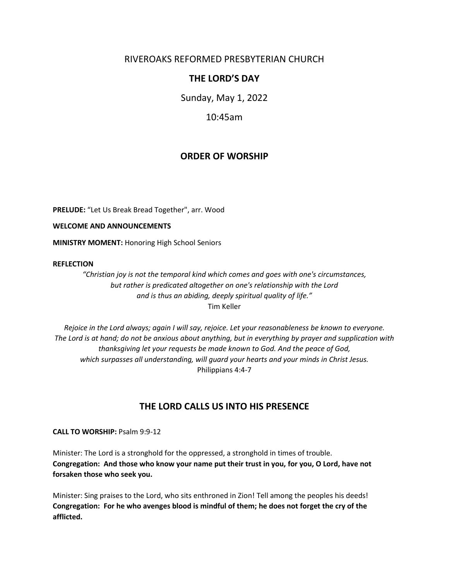# RIVEROAKS REFORMED PRESBYTERIAN CHURCH

# **THE LORD'S DAY**

Sunday, May 1, 2022

10:45am

# **ORDER OF WORSHIP**

**PRELUDE:** "Let Us Break Bread Together", arr. Wood

**WELCOME AND ANNOUNCEMENTS**

**MINISTRY MOMENT:** Honoring High School Seniors

#### **REFLECTION**

*"Christian joy is not the temporal kind which comes and goes with one's circumstances, but rather is predicated altogether on one's relationship with the Lord and is thus an abiding, deeply spiritual quality of life."* Tim Keller

*Rejoice in the Lord always; again I will say, rejoice. Let your reasonableness be known to everyone. The Lord is at hand; do not be anxious about anything, but in everything by prayer and supplication with thanksgiving let your requests be made known to God. And the peace of God, which surpasses all understanding, will guard your hearts and your minds in Christ Jesus.* Philippians 4:4-7

# **THE LORD CALLS US INTO HIS PRESENCE**

**CALL TO WORSHIP:** Psalm 9:9-12

Minister: The Lord is a stronghold for the oppressed, a stronghold in times of trouble. **Congregation: And those who know your name put their trust in you, for you, O Lord, have not forsaken those who seek you.**

Minister: Sing praises to the Lord, who sits enthroned in Zion! Tell among the peoples his deeds! **Congregation: For he who avenges blood is mindful of them; he does not forget the cry of the afflicted.**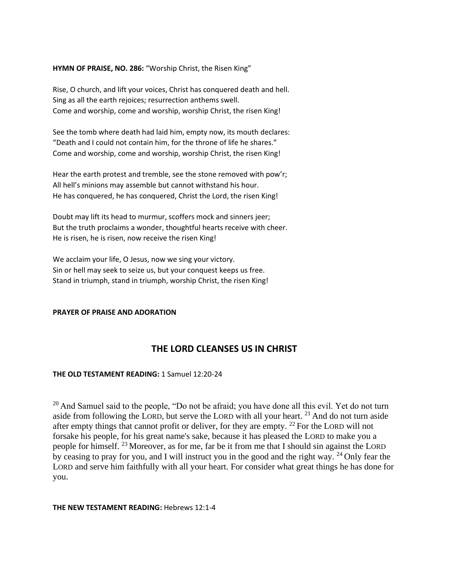#### **HYMN OF PRAISE, NO. 286:** "Worship Christ, the Risen King"

Rise, O church, and lift your voices, Christ has conquered death and hell. Sing as all the earth rejoices; resurrection anthems swell. Come and worship, come and worship, worship Christ, the risen King!

See the tomb where death had laid him, empty now, its mouth declares: "Death and I could not contain him, for the throne of life he shares." Come and worship, come and worship, worship Christ, the risen King!

Hear the earth protest and tremble, see the stone removed with pow'r; All hell's minions may assemble but cannot withstand his hour. He has conquered, he has conquered, Christ the Lord, the risen King!

Doubt may lift its head to murmur, scoffers mock and sinners jeer; But the truth proclaims a wonder, thoughtful hearts receive with cheer. He is risen, he is risen, now receive the risen King!

We acclaim your life, O Jesus, now we sing your victory. Sin or hell may seek to seize us, but your conquest keeps us free. Stand in triumph, stand in triumph, worship Christ, the risen King!

#### **PRAYER OF PRAISE AND ADORATION**

# **THE LORD CLEANSES US IN CHRIST**

## **THE OLD TESTAMENT READING:** 1 Samuel 12:20-24

 $20$  And Samuel said to the people, "Do not be afraid; you have done all this evil. Yet do not turn aside from following the LORD, but serve the LORD with all your heart.  $21$  And do not turn aside after empty things that cannot profit or deliver, for they are empty. <sup>22</sup> For the LORD will not forsake his people, for his great name's sake, because it has pleased the LORD to make you a people for himself. <sup>23</sup> Moreover, as for me, far be it from me that I should sin against the LORD by ceasing to pray for you, and I will instruct you in the good and the right way. <sup>24</sup> Only fear the LORD and serve him faithfully with all your heart. For consider what great things he has done for you.

### **THE NEW TESTAMENT READING:** Hebrews 12:1-4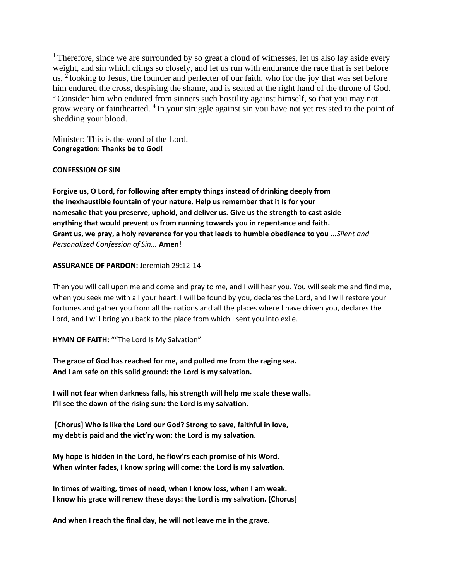$<sup>1</sup>$  Therefore, since we are surrounded by so great a cloud of witnesses, let us also lay aside every</sup> weight, and sin which clings so closely, and let us run with endurance the race that is set before us,  $\frac{1}{2}$ looking to Jesus, the founder and perfecter of our faith, who for the joy that was set before him endured the cross, despising the shame, and is seated at the right hand of the throne of God. <sup>3</sup> Consider him who endured from sinners such hostility against himself, so that you may not grow weary or fainthearted. <sup>4</sup> In your struggle against sin you have not yet resisted to the point of shedding your blood.

Minister: This is the word of the Lord. **Congregation: Thanks be to God!**

## **CONFESSION OF SIN**

**Forgive us, O Lord, for following after empty things instead of drinking deeply from the inexhaustible fountain of your nature. Help us remember that it is for your namesake that you preserve, uphold, and deliver us. Give us the strength to cast aside anything that would prevent us from running towards you in repentance and faith. Grant us, we pray, a holy reverence for you that leads to humble obedience to you** *...Silent and Personalized Confession of Sin...* **Amen!**

## **ASSURANCE OF PARDON:** Jeremiah 29:12-14

Then you will call upon me and come and pray to me, and I will hear you. You will seek me and find me, when you seek me with all your heart. I will be found by you, declares the Lord, and I will restore your fortunes and gather you from all the nations and all the places where I have driven you, declares the Lord, and I will bring you back to the place from which I sent you into exile.

**HYMN OF FAITH:** ""The Lord Is My Salvation"

**The grace of God has reached for me, and pulled me from the raging sea. And I am safe on this solid ground: the Lord is my salvation.**

**I will not fear when darkness falls, his strength will help me scale these walls. I'll see the dawn of the rising sun: the Lord is my salvation.**

**[Chorus] Who is like the Lord our God? Strong to save, faithful in love, my debt is paid and the vict'ry won: the Lord is my salvation.**

**My hope is hidden in the Lord, he flow'rs each promise of his Word. When winter fades, I know spring will come: the Lord is my salvation.**

**In times of waiting, times of need, when I know loss, when I am weak. I know his grace will renew these days: the Lord is my salvation. [Chorus]**

**And when I reach the final day, he will not leave me in the grave.**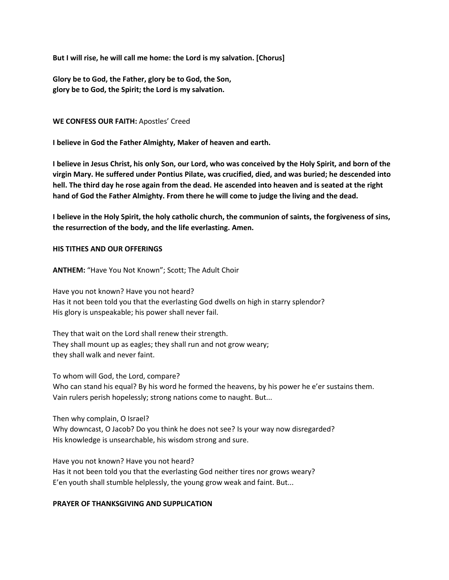**But I will rise, he will call me home: the Lord is my salvation. [Chorus]**

**Glory be to God, the Father, glory be to God, the Son, glory be to God, the Spirit; the Lord is my salvation.**

#### **WE CONFESS OUR FAITH:** Apostles' Creed

**I believe in God the Father Almighty, Maker of heaven and earth.**

**I believe in Jesus Christ, his only Son, our Lord, who was conceived by the Holy Spirit, and born of the virgin Mary. He suffered under Pontius Pilate, was crucified, died, and was buried; he descended into hell. The third day he rose again from the dead. He ascended into heaven and is seated at the right hand of God the Father Almighty. From there he will come to judge the living and the dead.**

**I believe in the Holy Spirit, the holy catholic church, the communion of saints, the forgiveness of sins, the resurrection of the body, and the life everlasting. Amen.** 

#### **HIS TITHES AND OUR OFFERINGS**

**ANTHEM:** "Have You Not Known"; Scott; The Adult Choir

Have you not known? Have you not heard? Has it not been told you that the everlasting God dwells on high in starry splendor? His glory is unspeakable; his power shall never fail.

They that wait on the Lord shall renew their strength. They shall mount up as eagles; they shall run and not grow weary; they shall walk and never faint.

To whom will God, the Lord, compare? Who can stand his equal? By his word he formed the heavens, by his power he e'er sustains them. Vain rulers perish hopelessly; strong nations come to naught. But...

Then why complain, O Israel? Why downcast, O Jacob? Do you think he does not see? Is your way now disregarded? His knowledge is unsearchable, his wisdom strong and sure.

Have you not known? Have you not heard? Has it not been told you that the everlasting God neither tires nor grows weary? E'en youth shall stumble helplessly, the young grow weak and faint. But...

## **PRAYER OF THANKSGIVING AND SUPPLICATION**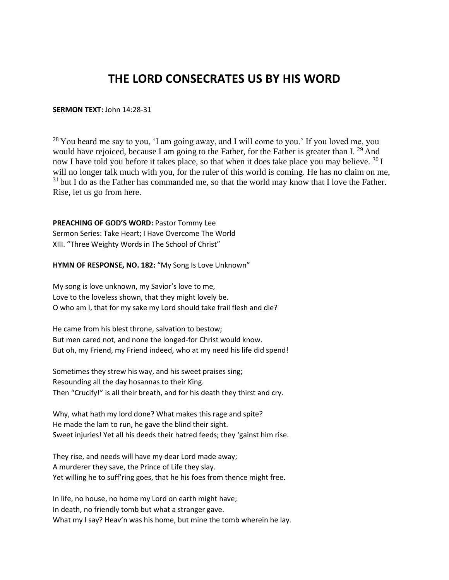# **THE LORD CONSECRATES US BY HIS WORD**

#### **SERMON TEXT:** John 14:28-31

 $^{28}$  You heard me say to you, 'I am going away, and I will come to you.' If you loved me, you would have rejoiced, because I am going to the Father, for the Father is greater than I.  $^{29}$  And now I have told you before it takes place, so that when it does take place you may believe.  $^{30}$  I will no longer talk much with you, for the ruler of this world is coming. He has no claim on me,  $31$  but I do as the Father has commanded me, so that the world may know that I love the Father. Rise, let us go from here.

**PREACHING OF GOD'S WORD:** Pastor Tommy Lee Sermon Series: Take Heart; I Have Overcome The World XIII. "Three Weighty Words in The School of Christ"

**HYMN OF RESPONSE, NO. 182:** "My Song Is Love Unknown"

My song is love unknown, my Savior's love to me, Love to the loveless shown, that they might lovely be. O who am I, that for my sake my Lord should take frail flesh and die?

He came from his blest throne, salvation to bestow; But men cared not, and none the longed-for Christ would know. But oh, my Friend, my Friend indeed, who at my need his life did spend!

Sometimes they strew his way, and his sweet praises sing; Resounding all the day hosannas to their King. Then "Crucify!" is all their breath, and for his death they thirst and cry.

Why, what hath my lord done? What makes this rage and spite? He made the lam to run, he gave the blind their sight. Sweet injuries! Yet all his deeds their hatred feeds; they 'gainst him rise.

They rise, and needs will have my dear Lord made away; A murderer they save, the Prince of Life they slay. Yet willing he to suff'ring goes, that he his foes from thence might free.

In life, no house, no home my Lord on earth might have; In death, no friendly tomb but what a stranger gave. What my I say? Heav'n was his home, but mine the tomb wherein he lay.